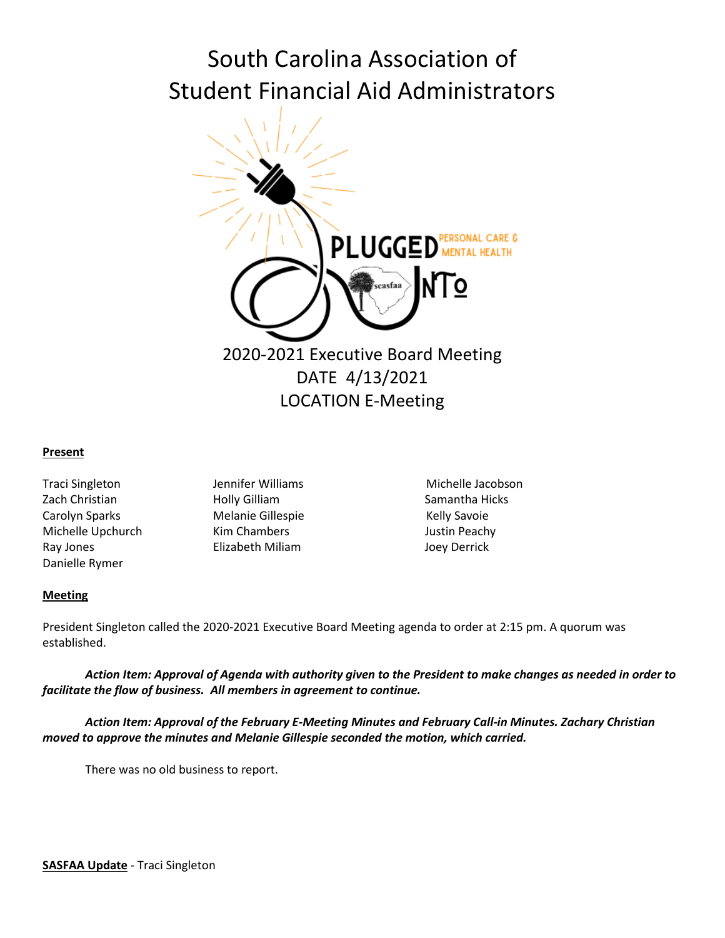# South Carolina Association of Student Financial Aid Administrators



## **Present**

- Zach Christian **Samantha Hicks** Holly Gilliam Samantha Hicks Carolyn Sparks **Melanie Gillespie** Melanie Gillespie Kelly Savoie Michelle Upchurch Kim Chambers Justin Peachy Ray Jones Elizabeth Miliam Joey Derrick Danielle Rymer
- 

Traci Singleton **Michelle Jacobson** Jennifer Williams **Michelle Jacobson** 

# **Meeting**

President Singleton called the 2020-2021 Executive Board Meeting agenda to order at 2:15 pm. A quorum was established.

*Action Item: Approval of Agenda with authority given to the President to make changes as needed in order to facilitate the flow of business. All members in agreement to continue.*

*Action Item: Approval of the February E-Meeting Minutes and February Call-in Minutes. Zachary Christian moved to approve the minutes and Melanie Gillespie seconded the motion, which carried.* 

There was no old business to report.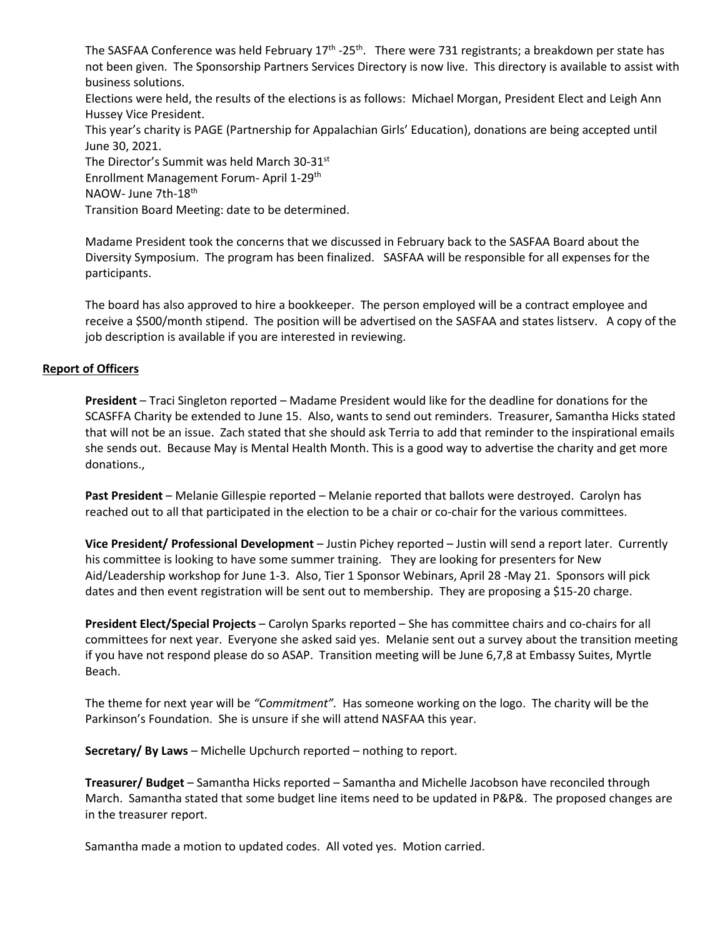The SASFAA Conference was held February  $17<sup>th</sup>$  -25<sup>th</sup>. There were 731 registrants; a breakdown per state has not been given. [The Sponsorship Partners Services Directory](https://www.sasfaa.org/Services-Directory) is now live. This directory is available to assist with business solutions.

Elections were held, the results of the elections is as follows: Michael Morgan, President Elect and Leigh Ann Hussey Vice President.

This year'[s charity is PAGE](https://www.sasfaa.org/page-1863931) (Partnership for Appalachian Girls' Education), donations are being accepted until June 30, 2021.

The Director's Summit was held March 30-31st

Enrollment Management Forum- April 1-29th

NAOW- June 7th-18th

Transition Board Meeting: date to be determined.

Madame President took the concerns that we discussed in February back to the SASFAA Board about the Diversity Symposium. The program has been finalized. SASFAA will be responsible for all expenses for the participants.

The board has also approved to hire a bookkeeper. The person employed will be a contract employee and receive a \$500/month stipend. The position will be advertised on the SASFAA and states listserv. A copy of the job description is available if you are interested in reviewing.

# **Report of Officers**

**President** – Traci Singleton reported – Madame President would like for the deadline for donations for the SCASFFA Charity be extended to June 15. Also, wants to send out reminders. Treasurer, Samantha Hicks stated that will not be an issue. Zach stated that she should ask Terria to add that reminder to the inspirational emails she sends out. Because May is Mental Health Month. This is a good way to advertise the charity and get more donations.,

**Past President** – Melanie Gillespie reported – Melanie reported that ballots were destroyed. Carolyn has reached out to all that participated in the election to be a chair or co-chair for the various committees.

**Vice President/ Professional Development** – Justin Pichey reported – Justin will send a report later. Currently his committee is looking to have some summer training. They are looking for presenters for New Aid/Leadership workshop for June 1-3. Also, Tier 1 Sponsor Webinars, April 28 -May 21. Sponsors will pick dates and then event registration will be sent out to membership. They are proposing a \$15-20 charge.

**President Elect/Special Projects** – Carolyn Sparks reported – She has committee chairs and co-chairs for all committees for next year. Everyone she asked said yes. Melanie sent out a survey about the transition meeting if you have not respond please do so ASAP. Transition meeting will be June 6,7,8 at Embassy Suites, Myrtle Beach.

The theme for next year will be *"Commitment".* Has someone working on the logo. The charity will be the Parkinson's Foundation. She is unsure if she will attend NASFAA this year.

**Secretary/ By Laws** – Michelle Upchurch reported – nothing to report.

**Treasurer/ Budget** – Samantha Hicks reported – Samantha and Michelle Jacobson have reconciled through March. Samantha stated that some budget line items need to be updated in P&P&. The proposed changes are in the treasurer report.

Samantha made a motion to updated codes. All voted yes. Motion carried.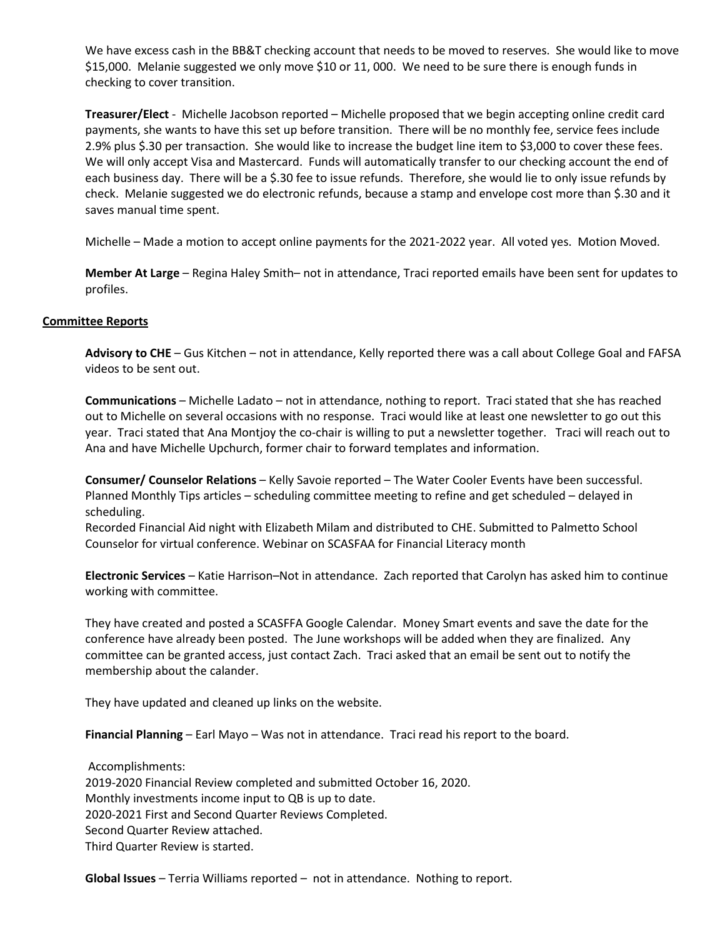We have excess cash in the BB&T checking account that needs to be moved to reserves. She would like to move \$15,000. Melanie suggested we only move \$10 or 11, 000. We need to be sure there is enough funds in checking to cover transition.

**Treasurer/Elect** - Michelle Jacobson reported – Michelle proposed that we begin accepting online credit card payments, she wants to have this set up before transition. There will be no monthly fee, service fees include 2.9% plus \$.30 per transaction. She would like to increase the budget line item to \$3,000 to cover these fees. We will only accept Visa and Mastercard. Funds will automatically transfer to our checking account the end of each business day. There will be a \$.30 fee to issue refunds. Therefore, she would lie to only issue refunds by check. Melanie suggested we do electronic refunds, because a stamp and envelope cost more than \$.30 and it saves manual time spent.

Michelle – Made a motion to accept online payments for the 2021-2022 year. All voted yes. Motion Moved.

**Member At Large** – Regina Haley Smith– not in attendance, Traci reported emails have been sent for updates to profiles.

## **Committee Reports**

**Advisory to CHE** – Gus Kitchen – not in attendance, Kelly reported there was a call about College Goal and FAFSA videos to be sent out.

**Communications** – Michelle Ladato – not in attendance, nothing to report. Traci stated that she has reached out to Michelle on several occasions with no response. Traci would like at least one newsletter to go out this year. Traci stated that Ana Montjoy the co-chair is willing to put a newsletter together. Traci will reach out to Ana and have Michelle Upchurch, former chair to forward templates and information.

**Consumer/ Counselor Relations** – Kelly Savoie reported – The Water Cooler Events have been successful. Planned Monthly Tips articles – scheduling committee meeting to refine and get scheduled – delayed in scheduling.

Recorded Financial Aid night with Elizabeth Milam and distributed to CHE. Submitted to Palmetto School Counselor for virtual conference. Webinar on SCASFAA for Financial Literacy month

**Electronic Services** – Katie Harrison–Not in attendance. Zach reported that Carolyn has asked him to continue working with committee.

They have created and posted a SCASFFA Google Calendar. Money Smart events and save the date for the conference have already been posted. The June workshops will be added when they are finalized. Any committee can be granted access, just contact Zach. Traci asked that an email be sent out to notify the membership about the calander.

They have updated and cleaned up links on the website.

**Financial Planning** – Earl Mayo – Was not in attendance. Traci read his report to the board.

Accomplishments: 2019-2020 Financial Review completed and submitted October 16, 2020. Monthly investments income input to QB is up to date. 2020-2021 First and Second Quarter Reviews Completed. Second Quarter Review attached. Third Quarter Review is started.

**Global Issues** – Terria Williams reported – not in attendance. Nothing to report.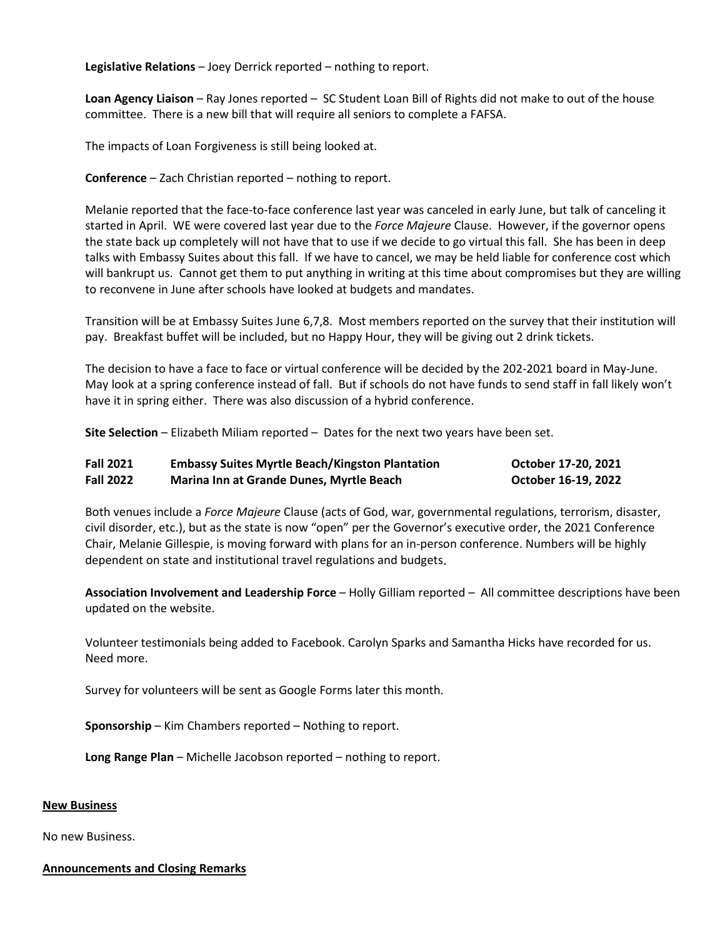**Legislative Relations** – Joey Derrick reported – nothing to report.

**Loan Agency Liaison** – Ray Jones reported – SC Student Loan Bill of Rights did not make to out of the house committee. There is a new bill that will require all seniors to complete a FAFSA.

The impacts of Loan Forgiveness is still being looked at.

**Conference** – Zach Christian reported – nothing to report.

Melanie reported that the face-to-face conference last year was canceled in early June, but talk of canceling it started in April. WE were covered last year due to the *Force Majeure* Clause. However, if the governor opens the state back up completely will not have that to use if we decide to go virtual this fall. She has been in deep talks with Embassy Suites about this fall. If we have to cancel, we may be held liable for conference cost which will bankrupt us. Cannot get them to put anything in writing at this time about compromises but they are willing to reconvene in June after schools have looked at budgets and mandates.

Transition will be at Embassy Suites June 6,7,8. Most members reported on the survey that their institution will pay. Breakfast buffet will be included, but no Happy Hour, they will be giving out 2 drink tickets.

The decision to have a face to face or virtual conference will be decided by the 202-2021 board in May-June. May look at a spring conference instead of fall. But if schools do not have funds to send staff in fall likely won't have it in spring either. There was also discussion of a hybrid conference.

**Site Selection** – Elizabeth Miliam reported – Dates for the next two years have been set.

| <b>Fall 2021</b> | <b>Embassy Suites Myrtle Beach/Kingston Plantation</b> | October 17-20, 2021 |
|------------------|--------------------------------------------------------|---------------------|
| <b>Fall 2022</b> | Marina Inn at Grande Dunes, Myrtle Beach               | October 16-19, 2022 |

Both venues include a *Force Majeure* Clause (acts of God, war, governmental regulations, terrorism, disaster, civil disorder, etc.), but as the state is now "open" per the Governor's executive order, the 2021 Conference Chair, Melanie Gillespie, is moving forward with plans for an in-person conference. Numbers will be highly dependent on state and institutional travel regulations and budgets.

**Association Involvement and Leadership Force** – Holly Gilliam reported – All committee descriptions have been updated on the website.

Volunteer testimonials being added to Facebook. Carolyn Sparks and Samantha Hicks have recorded for us. Need more.

Survey for volunteers will be sent as Google Forms later this month.

**Sponsorship** – Kim Chambers reported – Nothing to report.

**Long Range Plan** – Michelle Jacobson reported – nothing to report.

### **New Business**

No new Business.

### **Announcements and Closing Remarks**